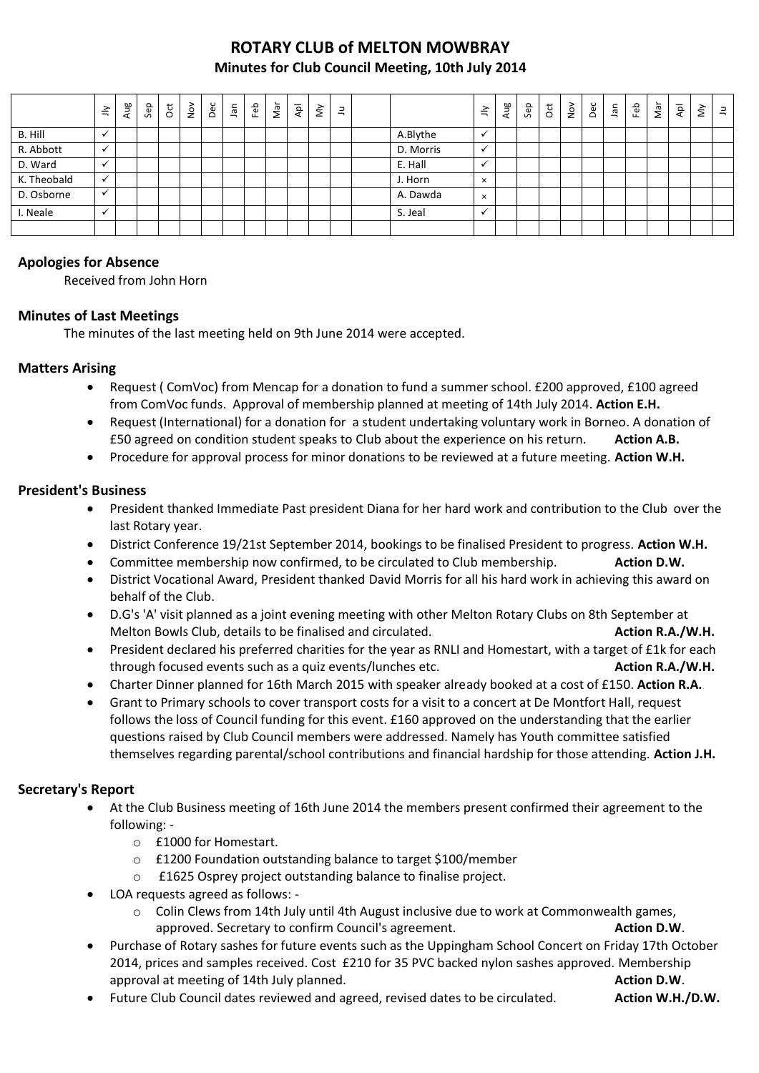## **ROTARY CLUB of MELTON MOWBRAY Minutes for Club Council Meeting, 10th July 2014**

|             | $\preceq$                | Aug | Sep | ğ | $\frac{5}{2}$ | Dec | Jan | Feb | Nar | $\overline{\mathsf{A}}\mathsf{P}$ | $\lessgtr$ | $\Xi$ |           | ≧        | Aug | Sep | $\overline{c}$ | $\sum_{i=1}^{\infty}$ | Dec | lan | Feb | Nar | $\overline{\mathsf{A}}\mathsf{p}\mathsf{I}$ | $\check{\simeq}$ | $\equiv$ |
|-------------|--------------------------|-----|-----|---|---------------|-----|-----|-----|-----|-----------------------------------|------------|-------|-----------|----------|-----|-----|----------------|-----------------------|-----|-----|-----|-----|---------------------------------------------|------------------|----------|
| B. Hill     |                          |     |     |   |               |     |     |     |     |                                   |            |       | A.Blythe  | ✔        |     |     |                |                       |     |     |     |     |                                             |                  |          |
| R. Abbott   | $\checkmark$             |     |     |   |               |     |     |     |     |                                   |            |       | D. Morris | ✔        |     |     |                |                       |     |     |     |     |                                             |                  |          |
| D. Ward     | $\overline{\phantom{a}}$ |     |     |   |               |     |     |     |     |                                   |            |       | E. Hall   | $\cdot$  |     |     |                |                       |     |     |     |     |                                             |                  |          |
| K. Theobald | $\checkmark$             |     |     |   |               |     |     |     |     |                                   |            |       | J. Horn   | $\times$ |     |     |                |                       |     |     |     |     |                                             |                  |          |
| D. Osborne  | $\overline{\phantom{a}}$ |     |     |   |               |     |     |     |     |                                   |            |       | A. Dawda  | $\times$ |     |     |                |                       |     |     |     |     |                                             |                  |          |
| Neale       | $\checkmark$             |     |     |   |               |     |     |     |     |                                   |            |       | S. Jeal   | ✔        |     |     |                |                       |     |     |     |     |                                             |                  |          |
|             |                          |     |     |   |               |     |     |     |     |                                   |            |       |           |          |     |     |                |                       |     |     |     |     |                                             |                  |          |

### **Apologies for Absence**

Received from John Horn

### **Minutes of Last Meetings**

The minutes of the last meeting held on 9th June 2014 were accepted.

### **Matters Arising**

- Request ( ComVoc) from Mencap for a donation to fund a summer school. £200 approved, £100 agreed from ComVoc funds. Approval of membership planned at meeting of 14th July 2014. **Action E.H.**
- Request (International) for a donation for a student undertaking voluntary work in Borneo. A donation of £50 agreed on condition student speaks to Club about the experience on his return. **Action A.B.**
- Procedure for approval process for minor donations to be reviewed at a future meeting. **Action W.H.**

### **President's Business**

- President thanked Immediate Past president Diana for her hard work and contribution to the Club over the last Rotary year.
- District Conference 19/21st September 2014, bookings to be finalised President to progress. **Action W.H.**
- Committee membership now confirmed, to be circulated to Club membership. **Action D.W.**
- District Vocational Award, President thanked David Morris for all his hard work in achieving this award on behalf of the Club.
- D.G's 'A' visit planned as a joint evening meeting with other Melton Rotary Clubs on 8th September at Melton Bowls Club, details to be finalised and circulated. **Action R.A./W.H. Action R.A./W.H.**
- President declared his preferred charities for the year as RNLI and Homestart, with a target of £1k for each through focused events such as a quiz events/lunches etc. **Action R.A./W.H.**
- Charter Dinner planned for 16th March 2015 with speaker already booked at a cost of £150. **Action R.A.**
- Grant to Primary schools to cover transport costs for a visit to a concert at De Montfort Hall, request follows the loss of Council funding for this event. £160 approved on the understanding that the earlier questions raised by Club Council members were addressed. Namely has Youth committee satisfied themselves regarding parental/school contributions and financial hardship for those attending. **Action J.H.**

### **Secretary's Report**

- At the Club Business meeting of 16th June 2014 the members present confirmed their agreement to the following:
	- o £1000 for Homestart.
	- o £1200 Foundation outstanding balance to target \$100/member
	- o £1625 Osprey project outstanding balance to finalise project.
- LOA requests agreed as follows:
	- o Colin Clews from 14th July until 4th August inclusive due to work at Commonwealth games, approved. Secretary to confirm Council's agreement. **Action D.W. Action D.W.**
- Purchase of Rotary sashes for future events such as the Uppingham School Concert on Friday 17th October 2014, prices and samples received. Cost £210 for 35 PVC backed nylon sashes approved. Membership approval at meeting of 14th July planned. **Action D.W. Action D.W.**
- Future Club Council dates reviewed and agreed, revised dates to be circulated. **Action W.H./D.W.**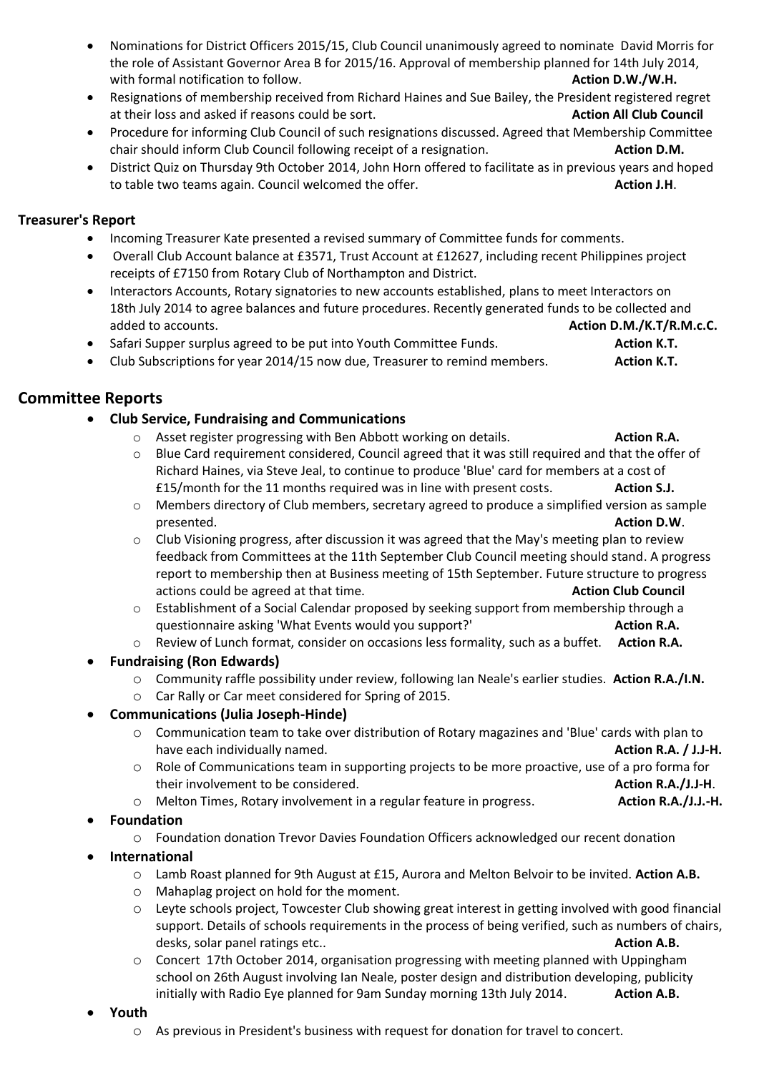- Nominations for District Officers 2015/15, Club Council unanimously agreed to nominate David Morris for the role of Assistant Governor Area B for 2015/16. Approval of membership planned for 14th July 2014, with formal notification to follow. **Action D.W./W.H. Action D.W./W.H.**
- Resignations of membership received from Richard Haines and Sue Bailey, the President registered regret at their loss and asked if reasons could be sort. **Action All Club Council** at their loss and asked if reasons could be sort.
- Procedure for informing Club Council of such resignations discussed. Agreed that Membership Committee chair should inform Club Council following receipt of a resignation. **Action D.M. Action D.M.**
- District Quiz on Thursday 9th October 2014, John Horn offered to facilitate as in previous years and hoped to table two teams again. Council welcomed the offer. **Action J.H. Action J.H.**

## **Treasurer's Report**

- Incoming Treasurer Kate presented a revised summary of Committee funds for comments.
- Overall Club Account balance at £3571, Trust Account at £12627, including recent Philippines project receipts of £7150 from Rotary Club of Northampton and District.
- Interactors Accounts, Rotary signatories to new accounts established, plans to meet Interactors on 18th July 2014 to agree balances and future procedures. Recently generated funds to be collected and added to accounts. **Action D.M./K.T/R.M.c.C.**
- Safari Supper surplus agreed to be put into Youth Committee Funds. **Action K.T.** Action **K.T.**
- Club Subscriptions for year 2014/15 now due, Treasurer to remind members. **Action K.T.**

## **Committee Reports**

- **Club Service, Fundraising and Communications**
	- o Asset register progressing with Ben Abbott working on details. **Action R.A.**
	- o Blue Card requirement considered, Council agreed that it was still required and that the offer of Richard Haines, via Steve Jeal, to continue to produce 'Blue' card for members at a cost of £15/month for the 11 months required was in line with present costs. **Action S.J.**
	- o Members directory of Club members, secretary agreed to produce a simplified version as sample presented. **Action D.W**.
	- $\circ$  Club Visioning progress, after discussion it was agreed that the May's meeting plan to review feedback from Committees at the 11th September Club Council meeting should stand. A progress report to membership then at Business meeting of 15th September. Future structure to progress actions could be agreed at that time. **Action Club Council Action Club Council**
	- o Establishment of a Social Calendar proposed by seeking support from membership through a questionnaire asking 'What Events would you support?' **Action R.A.** Action R.A.
	- o Review of Lunch format, consider on occasions less formality, such as a buffet. **Action R.A.**
- **Fundraising (Ron Edwards)**
	- o Community raffle possibility under review, following Ian Neale's earlier studies. **Action R.A./I.N.**
	- o Car Rally or Car meet considered for Spring of 2015.
- **Communications (Julia Joseph-Hinde)**
	- o Communication team to take over distribution of Rotary magazines and 'Blue' cards with plan to have each individually named. **Action R.A. / J.J-H. Action R.A. / J.J-H. Action R.A. / J.J-H.**
	- o Role of Communications team in supporting projects to be more proactive, use of a pro forma for their involvement to be considered. **Action R.A./J.J-H**.
	- o Melton Times, Rotary involvement in a regular feature in progress. **Action R.A./J.J.-H.**
- **Foundation**
	- o Foundation donation Trevor Davies Foundation Officers acknowledged our recent donation
- **International**
	- o Lamb Roast planned for 9th August at £15, Aurora and Melton Belvoir to be invited. **Action A.B.**
	- o Mahaplag project on hold for the moment.
	- o Leyte schools project, Towcester Club showing great interest in getting involved with good financial support. Details of schools requirements in the process of being verified, such as numbers of chairs, desks, solar panel ratings etc.. **Action A.B. Action A.B. Action A.B. Action A.B.**
	- o Concert 17th October 2014, organisation progressing with meeting planned with Uppingham school on 26th August involving Ian Neale, poster design and distribution developing, publicity initially with Radio Eye planned for 9am Sunday morning 13th July 2014. **Action A.B.**
- **Youth**
	- o As previous in President's business with request for donation for travel to concert.